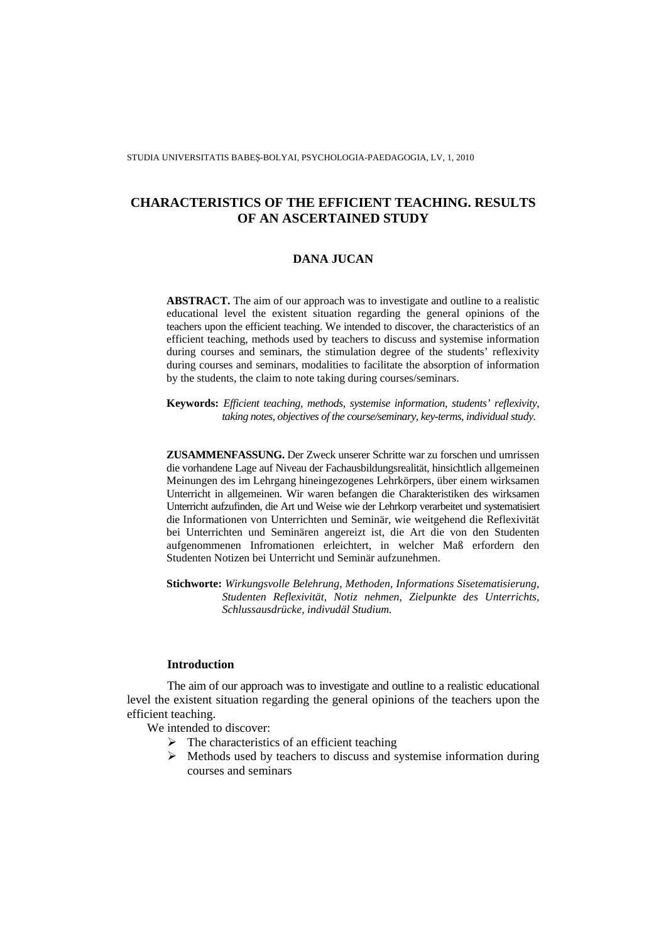STUDIA UNIVERSITATIS BABEŞ-BOLYAI, PSYCHOLOGIA-PAEDAGOGIA, LV, 1, 2010

# **CHARACTERISTICS OF THE EFFICIENT TEACHING. RESULTS OF AN ASCERTAINED STUDY**

# **DANA JUCAN**

**ABSTRACT.** The aim of our approach was to investigate and outline to a realistic educational level the existent situation regarding the general opinions of the teachers upon the efficient teaching. We intended to discover, the characteristics of an efficient teaching, methods used by teachers to discuss and systemise information during courses and seminars, the stimulation degree of the students' reflexivity during courses and seminars, modalities to facilitate the absorption of information by the students, the claim to note taking during courses/seminars.

**Keywords:** *Efficient teaching, methods, systemise information, students' reflexivity, taking notes, objectives of the course/seminary, key-terms, individual study.*

**ZUSAMMENFASSUNG.** Der Zweck unserer Schritte war zu forschen und umrissen die vorhandene Lage auf Niveau der Fachausbildungsrealität, hinsichtlich allgemeinen Meinungen des im Lehrgang hineingezogenes Lehrkörpers, über einem wirksamen Unterricht in allgemeinen. Wir waren befangen die Charakteristiken des wirksamen Unterricht aufzufinden, die Art und Weise wie der Lehrkorp verarbeitet und systematisiert die Informationen von Unterrichten und Seminär, wie weitgehend die Reflexivität bei Unterrichten und Seminären angereizt ist, die Art die von den Studenten aufgenommenen Infromationen erleichtert, in welcher Maß erfordern den Studenten Notizen bei Unterricht und Seminär aufzunehmen.

**Stichworte:** *Wirkungsvolle Belehrung, Methoden, Informations Sisetematisierung, Studenten Reflexivität, Notiz nehmen, Zielpunkte des Unterrichts, Schlussausdrücke, indivudäl Studium.*

### **Introduction**

The aim of our approach was to investigate and outline to a realistic educational level the existent situation regarding the general opinions of the teachers upon the efficient teaching.

We intended to discover:

- $\triangleright$  The characteristics of an efficient teaching
- $\triangleright$  Methods used by teachers to discuss and systemise information during courses and seminars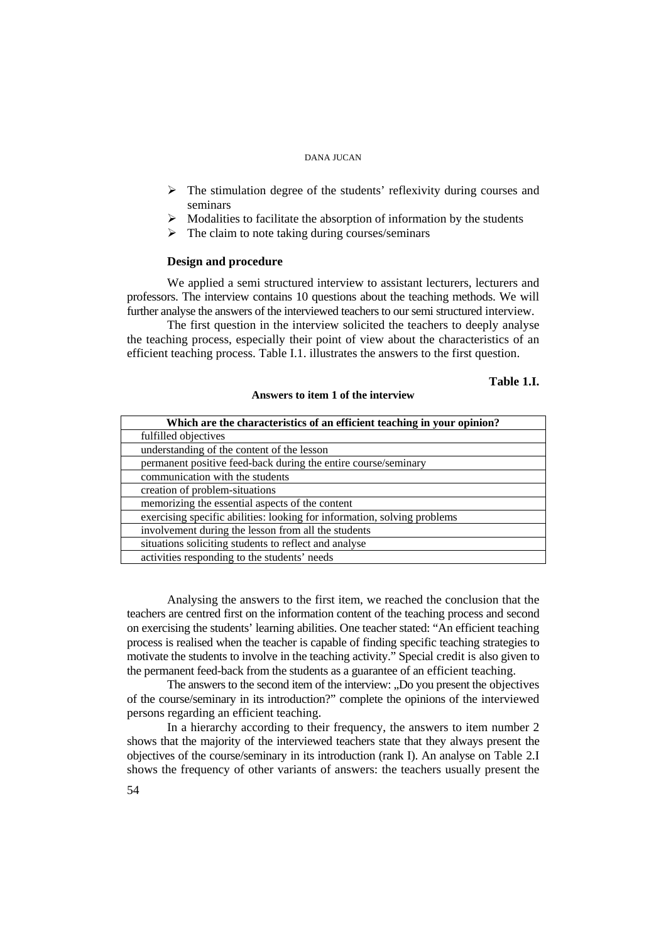- $\triangleright$  The stimulation degree of the students' reflexivity during courses and seminars
- $\triangleright$  Modalities to facilitate the absorption of information by the students
- $\triangleright$  The claim to note taking during courses/seminars

#### **Design and procedure**

We applied a semi structured interview to assistant lecturers, lecturers and professors. The interview contains 10 questions about the teaching methods. We will further analyse the answers of the interviewed teachers to our semi structured interview.

The first question in the interview solicited the teachers to deeply analyse the teaching process, especially their point of view about the characteristics of an efficient teaching process. Table I.1. illustrates the answers to the first question.

### **Table 1.I.**

#### **Answers to item 1 of the interview**

| Which are the characteristics of an efficient teaching in your opinion?  |
|--------------------------------------------------------------------------|
| fulfilled objectives                                                     |
| understanding of the content of the lesson                               |
| permanent positive feed-back during the entire course/seminary           |
| communication with the students                                          |
| creation of problem-situations                                           |
| memorizing the essential aspects of the content                          |
| exercising specific abilities: looking for information, solving problems |
| involvement during the lesson from all the students                      |
| situations soliciting students to reflect and analyse                    |
| activities responding to the students' needs                             |

Analysing the answers to the first item, we reached the conclusion that the teachers are centred first on the information content of the teaching process and second on exercising the students' learning abilities. One teacher stated: "An efficient teaching process is realised when the teacher is capable of finding specific teaching strategies to motivate the students to involve in the teaching activity." Special credit is also given to the permanent feed-back from the students as a guarantee of an efficient teaching.

The answers to the second item of the interview: .Do you present the objectives of the course/seminary in its introduction?" complete the opinions of the interviewed persons regarding an efficient teaching.

In a hierarchy according to their frequency, the answers to item number 2 shows that the majority of the interviewed teachers state that they always present the objectives of the course/seminary in its introduction (rank I). An analyse on Table 2.I shows the frequency of other variants of answers: the teachers usually present the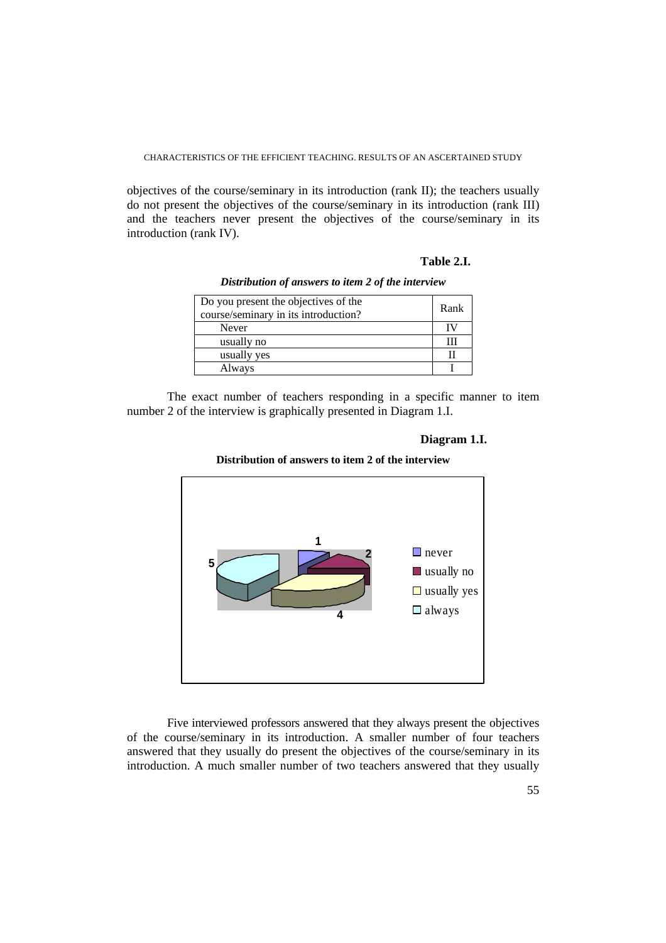objectives of the course/seminary in its introduction (rank II); the teachers usually do not present the objectives of the course/seminary in its introduction (rank III) and the teachers never present the objectives of the course/seminary in its introduction (rank IV).

#### **Table 2.I.**

*Distribution of answers to item 2 of the interview* 

| Do you present the objectives of the<br>course/seminary in its introduction? | Rank |
|------------------------------------------------------------------------------|------|
| Never                                                                        | ΙV   |
| usually no                                                                   |      |
| usually yes                                                                  |      |
| Always                                                                       |      |

 The exact number of teachers responding in a specific manner to item number 2 of the interview is graphically presented in Diagram 1.I.

### **Diagram 1.I.**





Five interviewed professors answered that they always present the objectives of the course/seminary in its introduction. A smaller number of four teachers answered that they usually do present the objectives of the course/seminary in its introduction. A much smaller number of two teachers answered that they usually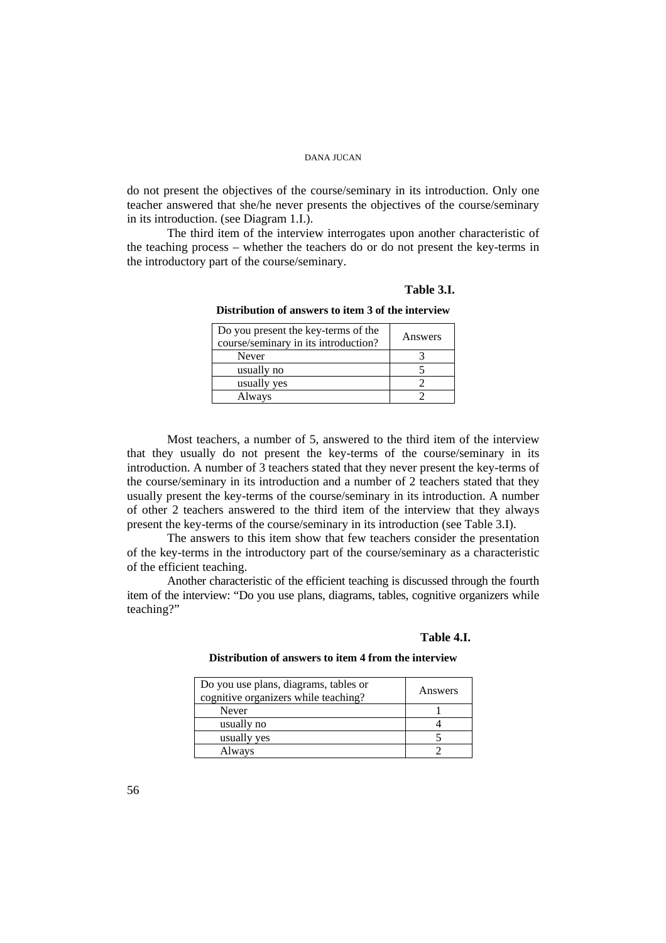do not present the objectives of the course/seminary in its introduction. Only one teacher answered that she/he never presents the objectives of the course/seminary in its introduction. (see Diagram 1.I.).

The third item of the interview interrogates upon another characteristic of the teaching process – whether the teachers do or do not present the key-terms in the introductory part of the course/seminary.

### **Table 3.I.**

**Distribution of answers to item 3 of the interview** 

| Do you present the key-terms of the<br>course/seminary in its introduction? | Answers |
|-----------------------------------------------------------------------------|---------|
| Never                                                                       |         |
| usually no                                                                  |         |
| usually yes                                                                 |         |
| Always                                                                      |         |

 Most teachers, a number of 5, answered to the third item of the interview that they usually do not present the key-terms of the course/seminary in its introduction. A number of 3 teachers stated that they never present the key-terms of the course/seminary in its introduction and a number of 2 teachers stated that they usually present the key-terms of the course/seminary in its introduction. A number of other 2 teachers answered to the third item of the interview that they always present the key-terms of the course/seminary in its introduction (see Table 3.I).

The answers to this item show that few teachers consider the presentation of the key-terms in the introductory part of the course/seminary as a characteristic of the efficient teaching.

 Another characteristic of the efficient teaching is discussed through the fourth item of the interview: "Do you use plans, diagrams, tables, cognitive organizers while teaching?"

#### **Table 4.I.**

#### **Distribution of answers to item 4 from the interview**

| Do you use plans, diagrams, tables or<br>cognitive organizers while teaching? | Answers |
|-------------------------------------------------------------------------------|---------|
| Never                                                                         |         |
| usually no                                                                    |         |
| usually yes                                                                   |         |
| Always                                                                        |         |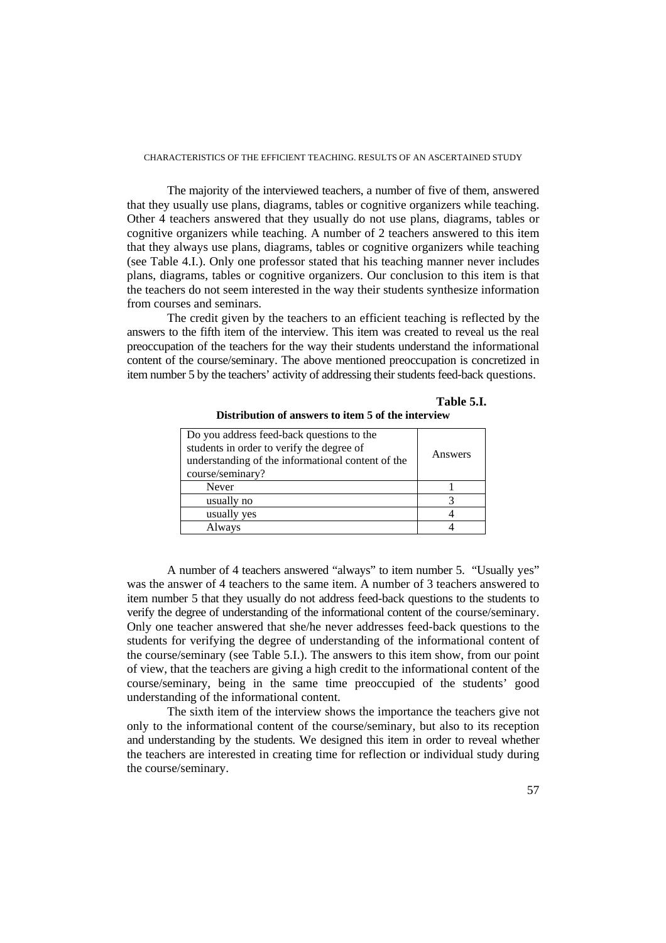The majority of the interviewed teachers, a number of five of them, answered that they usually use plans, diagrams, tables or cognitive organizers while teaching. Other 4 teachers answered that they usually do not use plans, diagrams, tables or cognitive organizers while teaching. A number of 2 teachers answered to this item that they always use plans, diagrams, tables or cognitive organizers while teaching (see Table 4.I.). Only one professor stated that his teaching manner never includes plans, diagrams, tables or cognitive organizers. Our conclusion to this item is that the teachers do not seem interested in the way their students synthesize information from courses and seminars.

 The credit given by the teachers to an efficient teaching is reflected by the answers to the fifth item of the interview. This item was created to reveal us the real preoccupation of the teachers for the way their students understand the informational content of the course/seminary. The above mentioned preoccupation is concretized in item number 5 by the teachers' activity of addressing their students feed-back questions.

| Do you address feed-back questions to the<br>students in order to verify the degree of<br>understanding of the informational content of the<br>course/seminary? | Answers |
|-----------------------------------------------------------------------------------------------------------------------------------------------------------------|---------|
| Never                                                                                                                                                           |         |
| usually no                                                                                                                                                      |         |
| usually yes                                                                                                                                                     |         |
| Always                                                                                                                                                          |         |

**Table 5.I. Distribution of answers to item 5 of the interview** 

 A number of 4 teachers answered "always" to item number 5. "Usually yes" was the answer of 4 teachers to the same item. A number of 3 teachers answered to item number 5 that they usually do not address feed-back questions to the students to verify the degree of understanding of the informational content of the course/seminary. Only one teacher answered that she/he never addresses feed-back questions to the students for verifying the degree of understanding of the informational content of the course/seminary (see Table 5.I.). The answers to this item show, from our point of view, that the teachers are giving a high credit to the informational content of the course/seminary, being in the same time preoccupied of the students' good understanding of the informational content.

 The sixth item of the interview shows the importance the teachers give not only to the informational content of the course/seminary, but also to its reception and understanding by the students. We designed this item in order to reveal whether the teachers are interested in creating time for reflection or individual study during the course/seminary.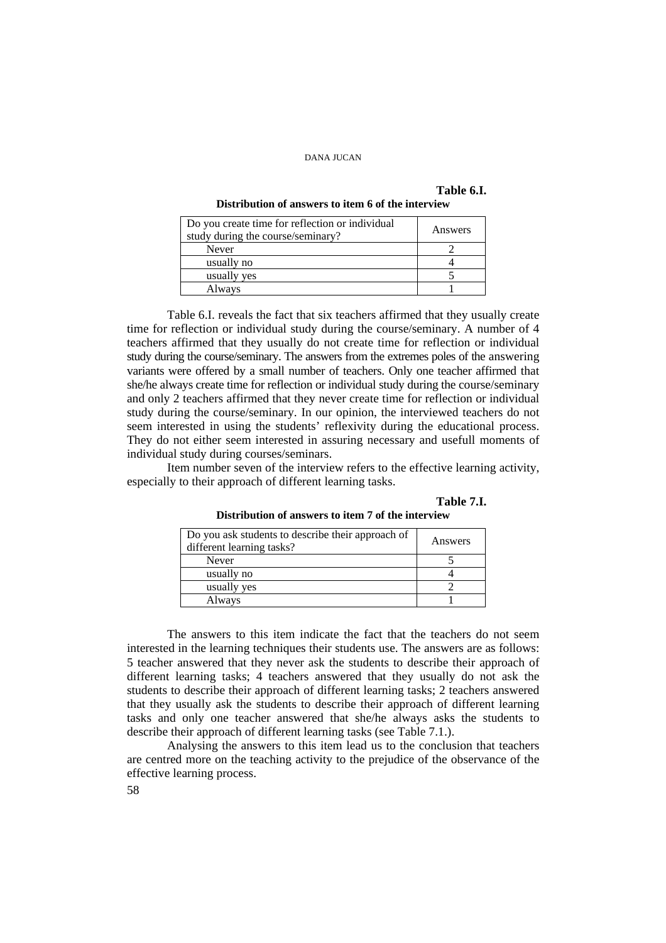## **Table 6.I.**

#### **Distribution of answers to item 6 of the interview**

| Do you create time for reflection or individual<br>study during the course/seminary? | Answers |
|--------------------------------------------------------------------------------------|---------|
| Never                                                                                |         |
| usually no                                                                           |         |
| usually yes                                                                          |         |
| Always                                                                               |         |

 Table 6.I. reveals the fact that six teachers affirmed that they usually create time for reflection or individual study during the course/seminary. A number of 4 teachers affirmed that they usually do not create time for reflection or individual study during the course/seminary. The answers from the extremes poles of the answering variants were offered by a small number of teachers. Only one teacher affirmed that she/he always create time for reflection or individual study during the course/seminary and only 2 teachers affirmed that they never create time for reflection or individual study during the course/seminary. In our opinion, the interviewed teachers do not seem interested in using the students' reflexivity during the educational process. They do not either seem interested in assuring necessary and usefull moments of individual study during courses/seminars.

 Item number seven of the interview refers to the effective learning activity, especially to their approach of different learning tasks.

**Table 7.I. Distribution of answers to item 7 of the interview** 

| Do you ask students to describe their approach of<br>different learning tasks? | Answers |
|--------------------------------------------------------------------------------|---------|
| Never                                                                          |         |
| usually no                                                                     |         |
| usually yes                                                                    |         |
| Always                                                                         |         |

 The answers to this item indicate the fact that the teachers do not seem interested in the learning techniques their students use. The answers are as follows: 5 teacher answered that they never ask the students to describe their approach of different learning tasks; 4 teachers answered that they usually do not ask the students to describe their approach of different learning tasks; 2 teachers answered that they usually ask the students to describe their approach of different learning tasks and only one teacher answered that she/he always asks the students to describe their approach of different learning tasks (see Table 7.1.).

 Analysing the answers to this item lead us to the conclusion that teachers are centred more on the teaching activity to the prejudice of the observance of the effective learning process.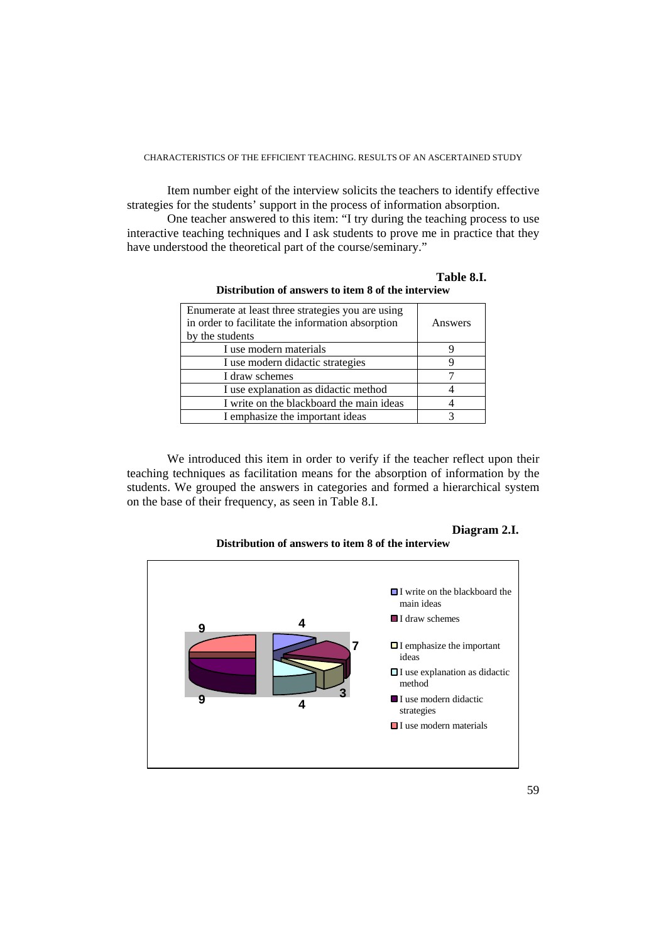Item number eight of the interview solicits the teachers to identify effective strategies for the students' support in the process of information absorption.

 One teacher answered to this item: "I try during the teaching process to use interactive teaching techniques and I ask students to prove me in practice that they have understood the theoretical part of the course/seminary."

| Enumerate at least three strategies you are using<br>in order to facilitate the information absorption<br>by the students | Answers |
|---------------------------------------------------------------------------------------------------------------------------|---------|
| I use modern materials                                                                                                    |         |
| I use modern didactic strategies                                                                                          |         |
| I draw schemes                                                                                                            |         |
| I use explanation as didactic method                                                                                      |         |
| I write on the blackboard the main ideas                                                                                  |         |
| I emphasize the important ideas                                                                                           |         |

**Table 8.I. Distribution of answers to item 8 of the interview** 

 We introduced this item in order to verify if the teacher reflect upon their teaching techniques as facilitation means for the absorption of information by the students. We grouped the answers in categories and formed a hierarchical system on the base of their frequency, as seen in Table 8.I.

# **Diagram 2.I.**

**Distribution of answers to item 8 of the interview** 

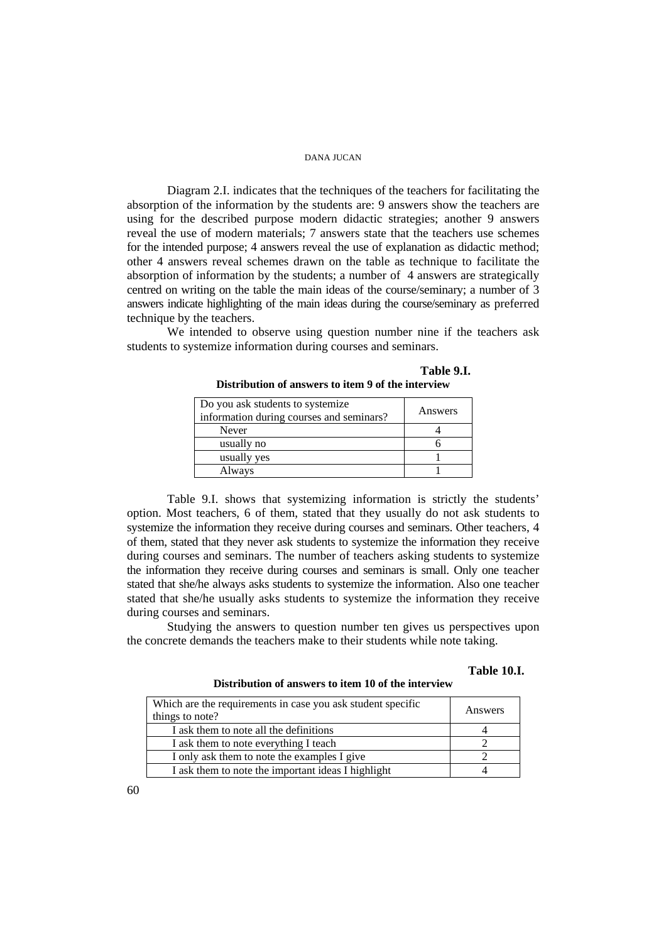Diagram 2.I. indicates that the techniques of the teachers for facilitating the absorption of the information by the students are: 9 answers show the teachers are using for the described purpose modern didactic strategies; another 9 answers reveal the use of modern materials; 7 answers state that the teachers use schemes for the intended purpose; 4 answers reveal the use of explanation as didactic method; other 4 answers reveal schemes drawn on the table as technique to facilitate the absorption of information by the students; a number of 4 answers are strategically centred on writing on the table the main ideas of the course/seminary; a number of 3 answers indicate highlighting of the main ideas during the course/seminary as preferred technique by the teachers.

 We intended to observe using question number nine if the teachers ask students to systemize information during courses and seminars.

| Do you ask students to systemize<br>information during courses and seminars? | Answers |
|------------------------------------------------------------------------------|---------|
| Never                                                                        |         |
| usually no                                                                   |         |
| usually yes                                                                  |         |
| Always                                                                       |         |

**Table 9.I. Distribution of answers to item 9 of the interview** 

 Table 9.I. shows that systemizing information is strictly the students' option. Most teachers, 6 of them, stated that they usually do not ask students to systemize the information they receive during courses and seminars. Other teachers, 4 of them, stated that they never ask students to systemize the information they receive during courses and seminars. The number of teachers asking students to systemize the information they receive during courses and seminars is small. Only one teacher stated that she/he always asks students to systemize the information. Also one teacher stated that she/he usually asks students to systemize the information they receive during courses and seminars.

 Studying the answers to question number ten gives us perspectives upon the concrete demands the teachers make to their students while note taking.

# **Table 10.I.**

**Distribution of answers to item 10 of the interview**

| Which are the requirements in case you ask student specific<br>things to note? | Answers |
|--------------------------------------------------------------------------------|---------|
| I ask them to note all the definitions                                         |         |
| I ask them to note everything I teach                                          |         |
| I only ask them to note the examples I give                                    |         |
| I ask them to note the important ideas I highlight                             |         |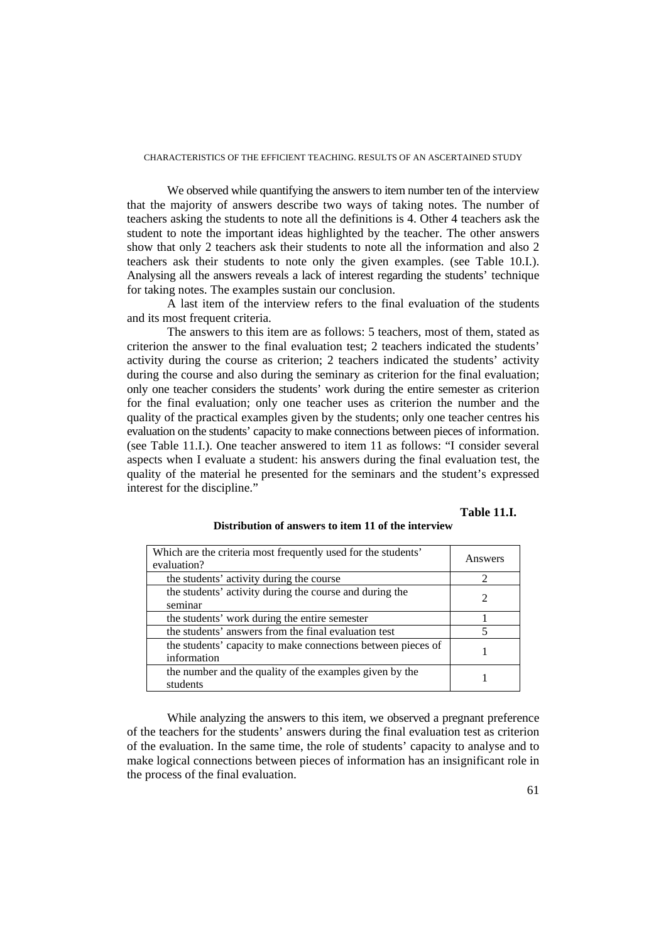We observed while quantifying the answers to item number ten of the interview that the majority of answers describe two ways of taking notes. The number of teachers asking the students to note all the definitions is 4. Other 4 teachers ask the student to note the important ideas highlighted by the teacher. The other answers show that only 2 teachers ask their students to note all the information and also 2 teachers ask their students to note only the given examples. (see Table 10.I.). Analysing all the answers reveals a lack of interest regarding the students' technique for taking notes. The examples sustain our conclusion.

 A last item of the interview refers to the final evaluation of the students and its most frequent criteria.

 The answers to this item are as follows: 5 teachers, most of them, stated as criterion the answer to the final evaluation test; 2 teachers indicated the students' activity during the course as criterion; 2 teachers indicated the students' activity during the course and also during the seminary as criterion for the final evaluation; only one teacher considers the students' work during the entire semester as criterion for the final evaluation; only one teacher uses as criterion the number and the quality of the practical examples given by the students; only one teacher centres his evaluation on the students' capacity to make connections between pieces of information. (see Table 11.I.). One teacher answered to item 11 as follows: "I consider several aspects when I evaluate a student: his answers during the final evaluation test, the quality of the material he presented for the seminars and the student's expressed interest for the discipline."

# **Table 11.I.**

| Which are the criteria most frequently used for the students'<br>evaluation? | Answers |
|------------------------------------------------------------------------------|---------|
| the students' activity during the course                                     |         |
| the students' activity during the course and during the<br>seminar           |         |
| the students' work during the entire semester                                |         |
| the students' answers from the final evaluation test                         |         |
| the students' capacity to make connections between pieces of<br>information  |         |
| the number and the quality of the examples given by the<br>students          |         |

#### **Distribution of answers to item 11 of the interview**

While analyzing the answers to this item, we observed a pregnant preference of the teachers for the students' answers during the final evaluation test as criterion of the evaluation. In the same time, the role of students' capacity to analyse and to make logical connections between pieces of information has an insignificant role in the process of the final evaluation.